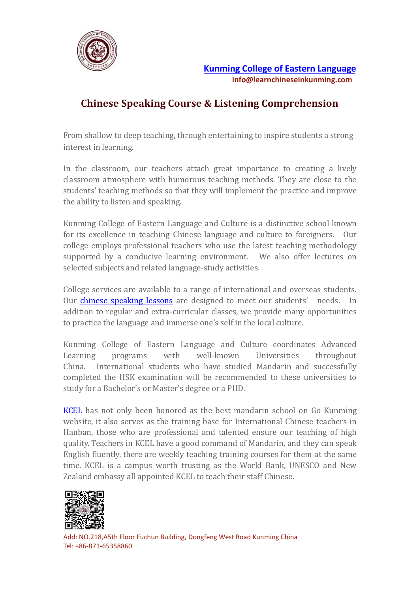

## **Chinese Speaking Course & Listening Comprehension**

From shallow to deep teaching, through entertaining to inspire students a strong interest in learning.

In the classroom, our teachers attach great importance to creating a lively classroom atmosphere with humorous teaching methods. They are close to the students' teaching methods so that they will implement the practice and improve the ability to listen and speaking.

Kunming College of Eastern Language and Culture is a distinctive school known for its excellence in teaching Chinese language and culture to foreigners. Our college employs professional teachers who use the latest teaching methodology supported by a conducive learning environment. We also offer lectures on selected subjects and related language-study activities.

College services are available to a range of international and overseas students.<br>Our chinese speaking lessons are designed to meet our students' needs. In addition to regular and extra-curricular classes, we provide many opportunities to practice the language and immerse one's self in the local culture.

Kunming College of Eastern Language and Culture coordinates Advanced Learning programs with well-known Universities throughout China. International students who have studied Mandarin and successfully completed the HSK examination will be recommended to these universities to study for a Bachelor's or Master's degree or a PHD.

[KCEL](https://www.learnchineseinkunming.com/) has not only been honored as the best mandarin school on Go Kunming website, it also serves as the training base for International Chinese teachers in Hanban, those who are professional and talented ensure our teaching of high quality. Teachers in KCEL have a good command of Mandarin, and they can speak English fluently, there are weekly teaching training courses for them at the same time. KCEL is a campus worth trusting as the World Bank, UNESCO and New Zealand embassy all appointed KCEL to teach their staff Chinese.



Add: NO.218,A5th Floor Fuchun Building, Dongfeng West Road Kunming China Tel: +86-871-65358860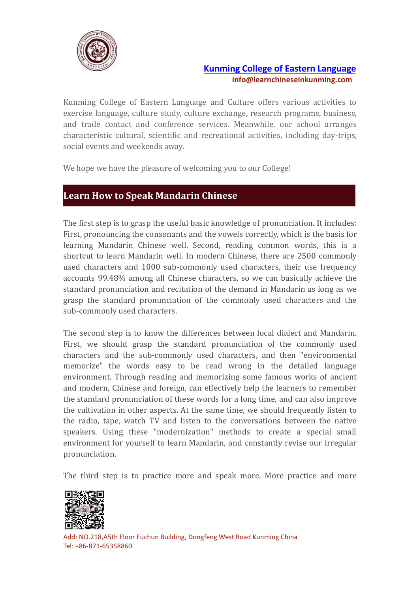

## **Kunming College of Eastern [Language](https://www.learnchineseinkunming.com/) info@learnchineseinkunming.com**

Kunming College of Eastern Language and Culture offers various activities to exercise language, culture study, culture exchange, research programs, business, and trade contact and conference services. Meanwhile, our school arranges characteristic cultural, scientific and recreational activities, including day-trips, social events and weekends away.

We hope we have the pleasure of welcoming you to our College!

## **Learn How to Speak Mandarin Chinese**

The first step is to grasp the useful basic knowledge of pronunciation. It includes: First, pronouncing the consonants and the vowels correctly, which is the basis for learning Mandarin Chinese well. Second, reading common words, this is a shortcut to learn Mandarin well. In modern Chinese, there are 2500 commonly used characters and 1000 sub-commonly used characters, their use frequency accounts 99.48% among all Chinese characters, so we can basically achieve the standard pronunciation and recitation of the demand in Mandarin as long as we grasp the standard pronunciation of the commonly used characters and the sub-commonly used characters.

The second step is to know the differences between local dialect and Mandarin. First, we should grasp the standard pronunciation of the commonly used characters and the sub-commonly used characters, and then "environmental memorize" the words easy to be read wrong in the detailed language environment. Through reading and memorizing some famous works of ancient and modern, Chinese and foreign, can effectively help the learners to remember the standard pronunciation of these words for a long time, and can also improve the cultivation in other aspects. At the same time, we should frequently listen to the radio, tape, watch TV and listen to the conversations between the native speakers. Using these "modernization" methods to create a special small environment for yourself to learn Mandarin, and constantly revise our irregular pronunciation.

The third step is to practice more and speak more. More practice and more



Add: NO.218,A5th Floor Fuchun Building, Dongfeng West Road Kunming China Tel: +86-871-65358860